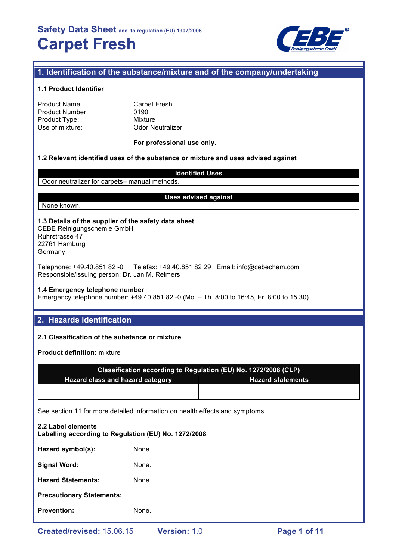

# **1. Identification of the substance/mixture and of the company/undertaking**

#### **1.1 Product Identifier**

| Product Name:   |  |
|-----------------|--|
| Product Number: |  |
| Product Type:   |  |
| Use of mixture: |  |

**Carpet Fresh** 0190 **Mixture Odor Neutralizer** 

#### **For professional use only.**

### **1.2 Relevant identified uses of the substance or mixture and uses advised against**

#### **Identified Uses**

Odor neutralizer for carpets– manual methods.

#### **Uses advised against**

# None known.

**1.3 Details of the supplier of the safety data sheet** CEBE Reinigungschemie GmbH

Ruhrstrasse 47 22761 Hamburg Germany

Telephone: +49.40.851 82 -0 Telefax: +49.40.851 82 29 Email: info@cebechem.com Responsible/issuing person: Dr. Jan M. Reimers

### **1.4 Emergency telephone number**

Emergency telephone number: +49.40.851 82 -0 (Mo. – Th. 8:00 to 16:45, Fr. 8:00 to 15:30)

## **2. Hazards identification**

#### **2.1 Classification of the substance or mixture**

**Product definition:** mixture

| Classification according to Regulation (EU) No. 1272/2008 (CLP) |                          |  |
|-----------------------------------------------------------------|--------------------------|--|
| <b>Hazard class and hazard category</b>                         | <b>Hazard statements</b> |  |
|                                                                 |                          |  |

See section 11 for more detailed information on health effects and symptoms.

| <b>Prevention:</b>                                                         | None. |  |  |  |
|----------------------------------------------------------------------------|-------|--|--|--|
| <b>Precautionary Statements:</b>                                           |       |  |  |  |
| <b>Hazard Statements:</b>                                                  | None. |  |  |  |
| <b>Signal Word:</b>                                                        | None. |  |  |  |
| Hazard symbol(s):                                                          | None. |  |  |  |
| 2.2 Label elements<br>Labelling according to Regulation (EU) No. 1272/2008 |       |  |  |  |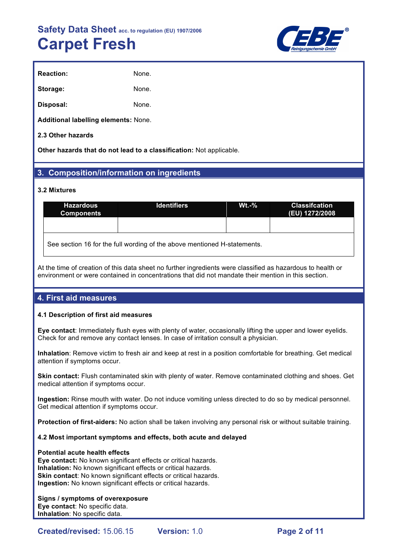

| <b>Reaction:</b> | None. |
|------------------|-------|
| Storage:         | None. |
| Disposal:        | None. |

**Additional labelling elements:** None.

#### **2.3 Other hazards**

**Other hazards that do not lead to a classification:** Not applicable.

## **3. Composition/information on ingredients**

#### **3.2 Mixtures**

| <b>Hazardous</b><br><b>Components</b>                                    | <b>Identifiers</b> | $Wt - %$ | <b>Classifcation</b><br>(EU) 1272/2008 |  |  |
|--------------------------------------------------------------------------|--------------------|----------|----------------------------------------|--|--|
|                                                                          |                    |          |                                        |  |  |
| See section 16 for the full wording of the above mentioned H-statements. |                    |          |                                        |  |  |

At the time of creation of this data sheet no further ingredients were classified as hazardous to health or environment or were contained in concentrations that did not mandate their mention in this section.

## **4. First aid measures**

#### **4.1 Description of first aid measures**

**Eye contact**: Immediately flush eyes with plenty of water, occasionally lifting the upper and lower eyelids. Check for and remove any contact lenses. In case of irritation consult a physician.

**Inhalation**: Remove victim to fresh air and keep at rest in a position comfortable for breathing. Get medical attention if symptoms occur.

**Skin contact:** Flush contaminated skin with plenty of water. Remove contaminated clothing and shoes. Get medical attention if symptoms occur.

**Ingestion:** Rinse mouth with water. Do not induce vomiting unless directed to do so by medical personnel. Get medical attention if symptoms occur.

**Protection of first-aiders:** No action shall be taken involving any personal risk or without suitable training.

#### **4.2 Most important symptoms and effects, both acute and delayed**

#### **Potential acute health effects**

**Eye contact:** No known significant effects or critical hazards. **Inhalation:** No known significant effects or critical hazards. **Skin contact:** No known significant effects or critical hazards. **Ingestion:** No known significant effects or critical hazards.

#### **Signs / symptoms of overexposure**

**Eye contact**: No specific data. **Inhalation**: No specific data.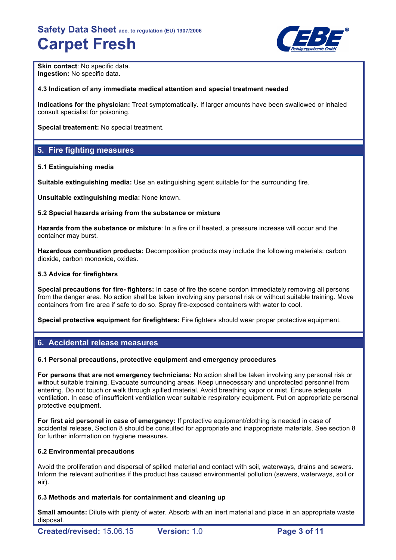

**Skin contact: No specific data. Ingestion:** No specific data.

#### **4.3 Indication of any immediate medical attention and special treatment needed**

**Indications for the physician:** Treat symptomatically. If larger amounts have been swallowed or inhaled consult specialist for poisoning.

**Special treatement:** No special treatment.

# **5. Fire fighting measures**

#### **5.1 Extinguishing media**

**Suitable extinguishing media:** Use an extinguishing agent suitable for the surrounding fire.

**Unsuitable extinguishing media:** None known.

#### **5.2 Special hazards arising from the substance or mixture**

**Hazards from the substance or mixture**: In a fire or if heated, a pressure increase will occur and the container may burst.

**Hazardous combustion products:** Decomposition products may include the following materials: carbon dioxide, carbon monoxide, oxides.

#### **5.3 Advice for firefighters**

**Special precautions for fire- fighters:** In case of fire the scene cordon immediately removing all persons from the danger area. No action shall be taken involving any personal risk or without suitable training. Move containers from fire area if safe to do so. Spray fire-exposed containers with water to cool.

**Special protective equipment for firefighters:** Fire fighters should wear proper protective equipment.

## **6. Accidental release measures**

#### **6.1 Personal precautions, protective equipment and emergency procedures**

**For persons that are not emergency technicians:** No action shall be taken involving any personal risk or without suitable training. Evacuate surrounding areas. Keep unnecessary and unprotected personnel from entering. Do not touch or walk through spilled material. Avoid breathing vapor or mist. Ensure adequate ventilation. In case of insufficient ventilation wear suitable respiratory equipment. Put on appropriate personal protective equipment.

**For first aid personel in case of emergency:** If protective equipment/clothing is needed in case of accidental release, Section 8 should be consulted for appropriate and inappropriate materials. See section 8 for further information on hygiene measures.

#### **6.2 Environmental precautions**

Avoid the proliferation and dispersal of spilled material and contact with soil, waterways, drains and sewers. Inform the relevant authorities if the product has caused environmental pollution (sewers, waterways, soil or air).

#### **6.3 Methods and materials for containment and cleaning up**

**Small amounts:** Dilute with plenty of water. Absorb with an inert material and place in an appropriate waste disposal.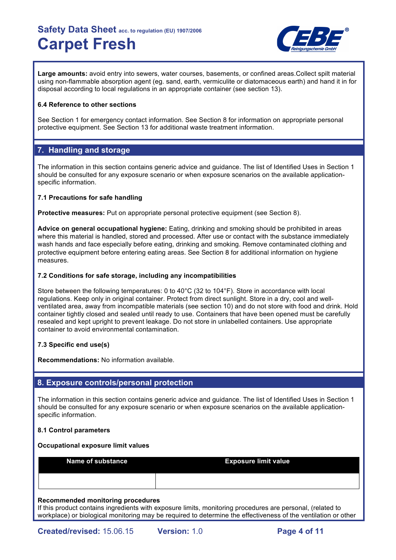

**Large amounts:** avoid entry into sewers, water courses, basements, or confined areas.Collect spilt material using non-flammable absorption agent (eg. sand, earth, vermiculite or diatomaceous earth) and hand it in for disposal according to local regulations in an appropriate container (see section 13).

### **6.4 Reference to other sections**

See Section 1 for emergency contact information. See Section 8 for information on appropriate personal protective equipment. See Section 13 for additional waste treatment information.

# **7. Handling and storage**

The information in this section contains generic advice and guidance. The list of Identified Uses in Section 1 should be consulted for any exposure scenario or when exposure scenarios on the available applicationspecific information.

### **7.1 Precautions for safe handling**

**Protective measures:** Put on appropriate personal protective equipment (see Section 8).

**Advice on general occupational hygiene:** Eating, drinking and smoking should be prohibited in areas where this material is handled, stored and processed. After use or contact with the substance immediately wash hands and face especially before eating, drinking and smoking. Remove contaminated clothing and protective equipment before entering eating areas. See Section 8 for additional information on hygiene measures.

### **7.2 Conditions for safe storage, including any incompatibilities**

Store between the following temperatures: 0 to 40°C (32 to 104°F). Store in accordance with local regulations. Keep only in original container. Protect from direct sunlight. Store in a dry, cool and wellventilated area, away from incompatible materials (see section 10) and do not store with food and drink. Hold container tightly closed and sealed until ready to use. Containers that have been opened must be carefully resealed and kept upright to prevent leakage. Do not store in unlabelled containers. Use appropriate container to avoid environmental contamination.

## **7.3 Specific end use(s)**

**Recommendations:** No information available.

## **8. Exposure controls/personal protection**

The information in this section contains generic advice and guidance. The list of Identified Uses in Section 1 should be consulted for any exposure scenario or when exposure scenarios on the available applicationspecific information.

#### **8.1 Control parameters**

#### **Occupational exposure limit values**

| Name of substance | <b>Exposure limit value</b> |
|-------------------|-----------------------------|
|                   |                             |

#### **Recommended monitoring procedures**

If this product contains ingredients with exposure limits, monitoring procedures are personal, (related to workplace) or biological monitoring may be required to determine the effectiveness of the ventilation or other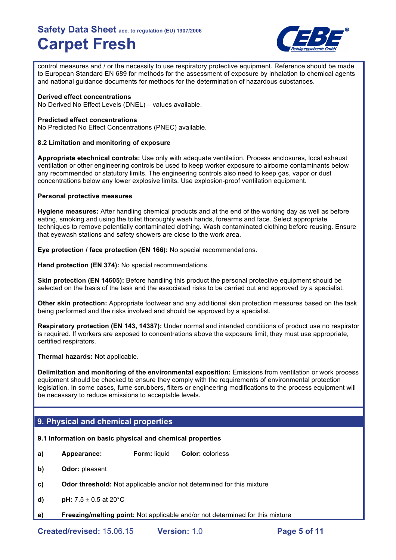

control measures and / or the necessity to use respiratory protective equipment. Reference should be made to European Standard EN 689 for methods for the assessment of exposure by inhalation to chemical agents and national guidance documents for methods for the determination of hazardous substances.

#### **Derived effect concentrations**

No Derived No Effect Levels (DNEL) – values available.

#### **Predicted effect concentrations**

No Predicted No Effect Concentrations (PNEC) available.

#### **8.2 Limitation and monitoring of exposure**

**Appropriate etechnical controls:** Use only with adequate ventilation. Process enclosures, local exhaust ventilation or other engineering controls be used to keep worker exposure to airborne contaminants below any recommended or statutory limits. The engineering controls also need to keep gas, vapor or dust concentrations below any lower explosive limits. Use explosion-proof ventilation equipment.

#### **Personal protective measures**

**Hygiene measures:** After handling chemical products and at the end of the working day as well as before eating, smoking and using the toilet thoroughly wash hands, forearms and face. Select appropriate techniques to remove potentially contaminated clothing. Wash contaminated clothing before reusing. Ensure that eyewash stations and safety showers are close to the work area.

**Eye protection / face protection (EN 166):** No special recommendations.

**Hand protection (EN 374):** No special recommendations.

**Skin protection (EN 14605):** Before handling this product the personal protective equipment should be selected on the basis of the task and the associated risks to be carried out and approved by a specialist.

**Other skin protection:** Appropriate footwear and any additional skin protection measures based on the task being performed and the risks involved and should be approved by a specialist.

**Respiratory protection (EN 143, 14387):** Under normal and intended conditions of product use no respirator is required. If workers are exposed to concentrations above the exposure limit, they must use appropriate, certified respirators.

**Thermal hazards:** Not applicable.

**Delimitation and monitoring of the environmental exposition:** Emissions from ventilation or work process equipment should be checked to ensure they comply with the requirements of environmental protection legislation. In some cases, fume scrubbers, filters or engineering modifications to the process equipment will be necessary to reduce emissions to acceptable levels.

## **9. Physical and chemical properties**

#### **9.1 Information on basic physical and chemical properties**

- **a) Appearance: Form:** liquid **Color:** colorless
- **b) Odor:** pleasant
- **c) Odor threshold:** Not applicable and/or not determined for this mixture
- **d) pH:**  $7.5 \pm 0.5$  at  $20^{\circ}$ C
- **e) Freezing/melting point:** Not applicable and/or not determined for this mixture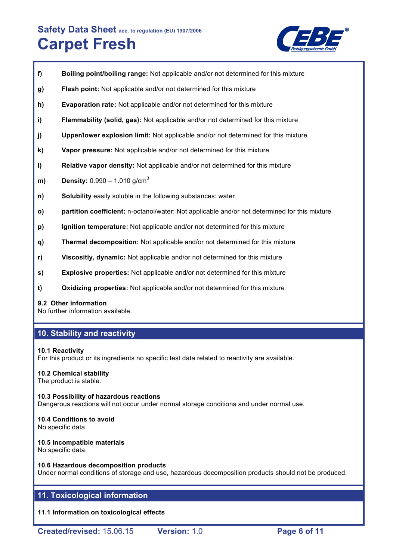

- **f) Boiling point/boiling range:** Not applicable and/or not determined for this mixture
- **g) Flash point:** Not applicable and/or not determined for this mixture
- **h) Evaporation rate:** Not applicable and/or not determined for this mixture
- **i) Flammability (solid, gas):** Not applicable and/or not determined for this mixture
- **j) Upper/lower explosion limit:** Not applicable and/or not determined for this mixture
- **k) Vapor pressure:** Not applicable and/or not determined for this mixture
- **l) Relative vapor density:** Not applicable and/or not determined for this mixture
- **m) Density:** 0.990 1.010 g/cm<sup>3</sup>
- **n) Solubility** easily soluble in the following substances: water
- **o) partition coefficient:** n-octanol/water: Not applicable and/or not determined for this mixture
- **p) Ignition temperature:** Not applicable and/or not determined for this mixture
- **q) Thermal decomposition:** Not applicable and/or not determined for this mixture
- **r) Viscositiy, dynamic:** Not applicable and/or not determined for this mixture
- **s) Explosive properties:** Not applicable and/or not determined for this mixture
- **t) Oxidizing properties:** Not applicable and/or not determined for this mixture

#### **9.2 Other information**

No further information available.

### **10. Stability and reactivity**

#### **10.1 Reactivity**

For this product or its ingredients no specific test data related to reactivity are available.

## **10.2 Chemical stability**

The product is stable.

### **10.3 Possibility of hazardous reactions** Dangerous reactions will not occur under normal storage conditions and under normal use.

#### **10.4 Conditions to avoid** No specific data.

# **10.5 Incompatible materials**

No specific data.

#### **10.6 Hazardous decomposition products**

Under normal conditions of storage and use, hazardous decomposition products should not be produced.

## **11. Toxicological information**

**11.1 Information on toxicological effects**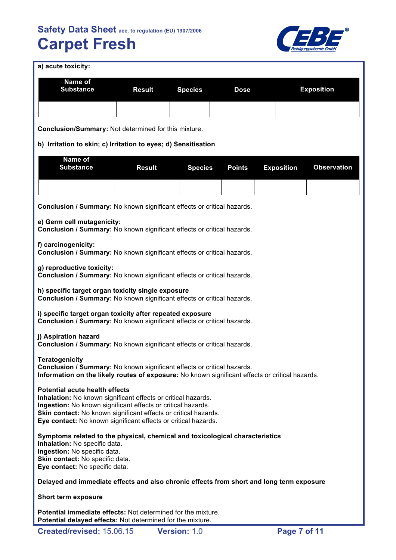

|  |  |  | a) acute toxicity: |
|--|--|--|--------------------|
|--|--|--|--------------------|

| a) acute toxicity:                                                                                                                                                                                                                                                                                          |               |                |               |                   |                    |
|-------------------------------------------------------------------------------------------------------------------------------------------------------------------------------------------------------------------------------------------------------------------------------------------------------------|---------------|----------------|---------------|-------------------|--------------------|
| Name of<br><b>Substance</b>                                                                                                                                                                                                                                                                                 | <b>Result</b> | <b>Species</b> | <b>Dose</b>   |                   | <b>Exposition</b>  |
|                                                                                                                                                                                                                                                                                                             |               |                |               |                   |                    |
| <b>Conclusion/Summary: Not determined for this mixture.</b>                                                                                                                                                                                                                                                 |               |                |               |                   |                    |
| b) Irritation to skin; c) Irritation to eyes; d) Sensitisation                                                                                                                                                                                                                                              |               |                |               |                   |                    |
| Name of<br><b>Substance</b>                                                                                                                                                                                                                                                                                 | <b>Result</b> | <b>Species</b> | <b>Points</b> | <b>Exposition</b> | <b>Observation</b> |
|                                                                                                                                                                                                                                                                                                             |               |                |               |                   |                    |
| Conclusion / Summary: No known significant effects or critical hazards.                                                                                                                                                                                                                                     |               |                |               |                   |                    |
| e) Germ cell mutagenicity:<br>Conclusion / Summary: No known significant effects or critical hazards.                                                                                                                                                                                                       |               |                |               |                   |                    |
| f) carcinogenicity:<br>Conclusion / Summary: No known significant effects or critical hazards.                                                                                                                                                                                                              |               |                |               |                   |                    |
| g) reproductive toxicity:<br>Conclusion / Summary: No known significant effects or critical hazards.                                                                                                                                                                                                        |               |                |               |                   |                    |
| h) specific target organ toxicity single exposure<br>Conclusion / Summary: No known significant effects or critical hazards.                                                                                                                                                                                |               |                |               |                   |                    |
| i) specific target organ toxicity after repeated exposure<br>Conclusion / Summary: No known significant effects or critical hazards.                                                                                                                                                                        |               |                |               |                   |                    |
| j) Aspiration hazard<br>Conclusion / Summary: No known significant effects or critical hazards.                                                                                                                                                                                                             |               |                |               |                   |                    |
| <b>Teratogenicity</b><br>Conclusion / Summary: No known significant effects or critical hazards.<br>Information on the likely routes of exposure: No known significant effects or critical hazards.                                                                                                         |               |                |               |                   |                    |
| <b>Potential acute health effects</b><br>Inhalation: No known significant effects or critical hazards.<br>Ingestion: No known significant effects or critical hazards.<br>Skin contact: No known significant effects or critical hazards.<br>Eye contact: No known significant effects or critical hazards. |               |                |               |                   |                    |

**Symptoms related to the physical, chemical and toxicological characteristics Inhalation:** No specific data. **Ingestion:** No specific data. **Skin contact:** No specific data. **Eye contact:** No specific data.

#### **Delayed and immediate effects and also chronic effects from short and long term exposure**

**Short term exposure**

**Potential immediate effects:** Not determined for the mixture. **Potential delayed effects:** Not determined for the mixture.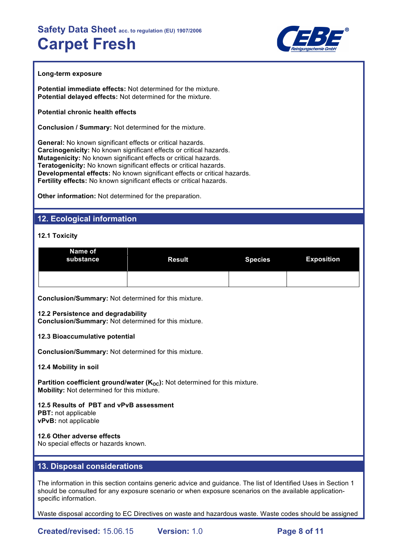

#### **Long-term exposure**

**Potential immediate effects:** Not determined for the mixture. **Potential delayed effects:** Not determined for the mixture.

**Potential chronic health effects**

**Conclusion / Summary:** Not determined for the mixture.

**General:** No known significant effects or critical hazards. **Carcinogenicity:** No known significant effects or critical hazards. **Mutagenicity:** No known significant effects or critical hazards. **Teratogenicity:** No known significant effects or critical hazards. **Developmental effects:** No known significant effects or critical hazards. **Fertility effects:** No known significant effects or critical hazards.

**Other information:** Not determined for the preparation.

## **12. Ecological information**

#### **12.1 Toxicity**

| Name of<br>substance | <b>Result</b> | <b>Species</b> | <b>Exposition</b> |
|----------------------|---------------|----------------|-------------------|
|                      |               |                |                   |

**Conclusion/Summary:** Not determined for this mixture.

#### **12.2 Persistence and degradability**

**Conclusion/Summary:** Not determined for this mixture.

#### **12.3 Bioaccumulative potential**

**Conclusion/Summary:** Not determined for this mixture.

**12.4 Mobility in soil**

**Partition coefficient ground/water (K<sub>OC</sub>):** Not determined for this mixture. **Mobility:** Not determined for this mixture.

# **12.5 Results of PBT and vPvB assessment**

**PBT:** not applicable **vPvB:** not applicable

#### **12.6 Other adverse effects**

No special effects or hazards known.

### **13. Disposal considerations**

The information in this section contains generic advice and guidance. The list of Identified Uses in Section 1 should be consulted for any exposure scenario or when exposure scenarios on the available applicationspecific information.

Waste disposal according to EC Directives on waste and hazardous waste. Waste codes should be assigned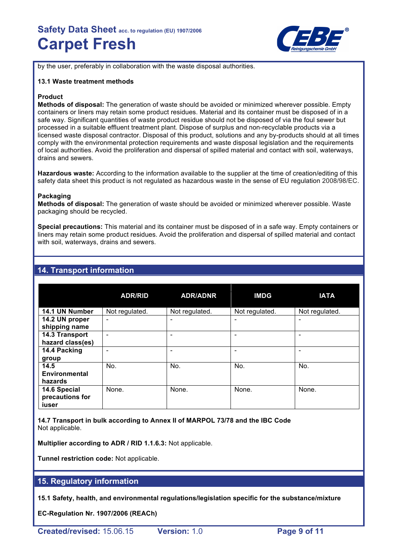

by the user, preferably in collaboration with the waste disposal authorities.

#### **13.1 Waste treatment methods**

#### **Product**

**Methods of disposal:** The generation of waste should be avoided or minimized wherever possible. Empty containers or liners may retain some product residues. Material and its container must be disposed of in a safe way. Significant quantities of waste product residue should not be disposed of via the foul sewer but processed in a suitable effluent treatment plant. Dispose of surplus and non-recyclable products via a licensed waste disposal contractor. Disposal of this product, solutions and any by-products should at all times comply with the environmental protection requirements and waste disposal legislation and the requirements of local authorities. Avoid the proliferation and dispersal of spilled material and contact with soil, waterways, drains and sewers.

**Hazardous waste:** According to the information available to the supplier at the time of creation/editing of this safety data sheet this product is not regulated as hazardous waste in the sense of EU regulation 2008/98/EC.

#### **Packaging**

**Methods of disposal:** The generation of waste should be avoided or minimized wherever possible. Waste packaging should be recycled.

**Special precautions:** This material and its container must be disposed of in a safe way. Empty containers or liners may retain some product residues. Avoid the proliferation and dispersal of spilled material and contact with soil, waterways, drains and sewers.

## **14. Transport information**

|                                          | <b>ADR/RID</b>               | <b>ADR/ADNR</b>          | <b>IMDG</b>    | <b>IATA</b>    |
|------------------------------------------|------------------------------|--------------------------|----------------|----------------|
| 14.1 UN Number                           | Not regulated.               | Not regulated.           | Not regulated. | Not regulated. |
| 14.2 UN proper<br>shipping name          | $\qquad \qquad \blacksquare$ |                          |                |                |
| 14.3 Transport<br>hazard class(es)       | ۰                            | $\overline{\phantom{0}}$ |                |                |
| 14.4 Packing<br>group                    |                              |                          |                |                |
| 14.5<br><b>Environmental</b><br>hazards  | No.                          | No.                      | No.            | No.            |
| 14.6 Special<br>precautions for<br>iuser | None.                        | None.                    | None.          | None.          |

**14.7 Transport in bulk according to Annex II of MARPOL 73/78 and the IBC Code** Not applicable.

**Multiplier according to ADR / RID 1.1.6.3:** Not applicable.

**Tunnel restriction code:** Not applicable.

#### **15. Regulatory information**

**15.1 Safety, health, and environmental regulations/legislation specific for the substance/mixture**

**EC-Regulation Nr. 1907/2006 (REACh)**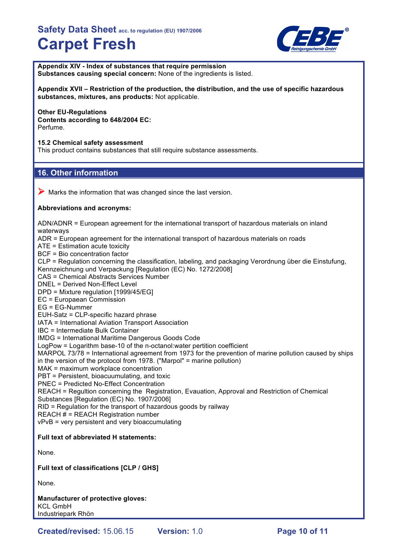

**Appendix XIV - Index of substances that require permission Substances causing special concern:** None of the ingredients is listed.

**Appendix XVII – Restriction of the production, the distribution, and the use of specific hazardous substances, mixtures, ans products:** Not applicable.

#### **Other EU-Regulations Contents according to 648/2004 EC:** Perfume.

**15.2 Chemical safety assessment**

This product contains substances that still require substance assessments.

## **16. Other information**

 $\triangleright$  Marks the information that was changed since the last version.

#### **Abbreviations and acronyms:**

ADN/ADNR = European agreement for the international transport of hazardous materials on inland waterways ADR = European agreement for the international transport of hazardous materials on roads ATE = Estimation acute toxicity BCF = Bio concentration factor CLP = Regulation concerning the classification, labeling, and packaging Verordnung über die Einstufung, Kennzeichnung und Verpackung [Regulation (EC) No. 1272/2008] CAS = Chemical Abstracts Services Number DNEL = Derived Non-Effect Level DPD = Mixture regulation [1999/45/EG] EC = Europaean Commission EG = EG-Nummer EUH-Satz = CLP-specific hazard phrase IATA = International Aviation Transport Association IBC = Intermediate Bulk Container IMDG = International Maritime Dangerous Goods Code LogPow = Logarithm base-10 of the n-octanol:water pertition coefficient MARPOL 73/78 = International agreement from 1973 for the prevention of marine pollution caused by ships in the version of the protocol from 1978. ("Marpol" = marine pollution) MAK = maximum workplace concentration PBT = Persistent, bioacuumulating, and toxic PNEC = Predicted No-Effect Concentration REACH = Regultion concerning the Registration, Evauation, Approval and Restriction of Chemical Substances [Regulation (EC) No. 1907/2006] RID = Regulation for the transport of hazardous goods by railway REACH # = REACH Registration number vPvB = very persistent and very bioaccumulating **Full text of abbreviated H statements:** None. **Full text of classifications [CLP / GHS]** None. **Manufacturer of protective gloves:**

KCL GmbH Industriepark Rhön